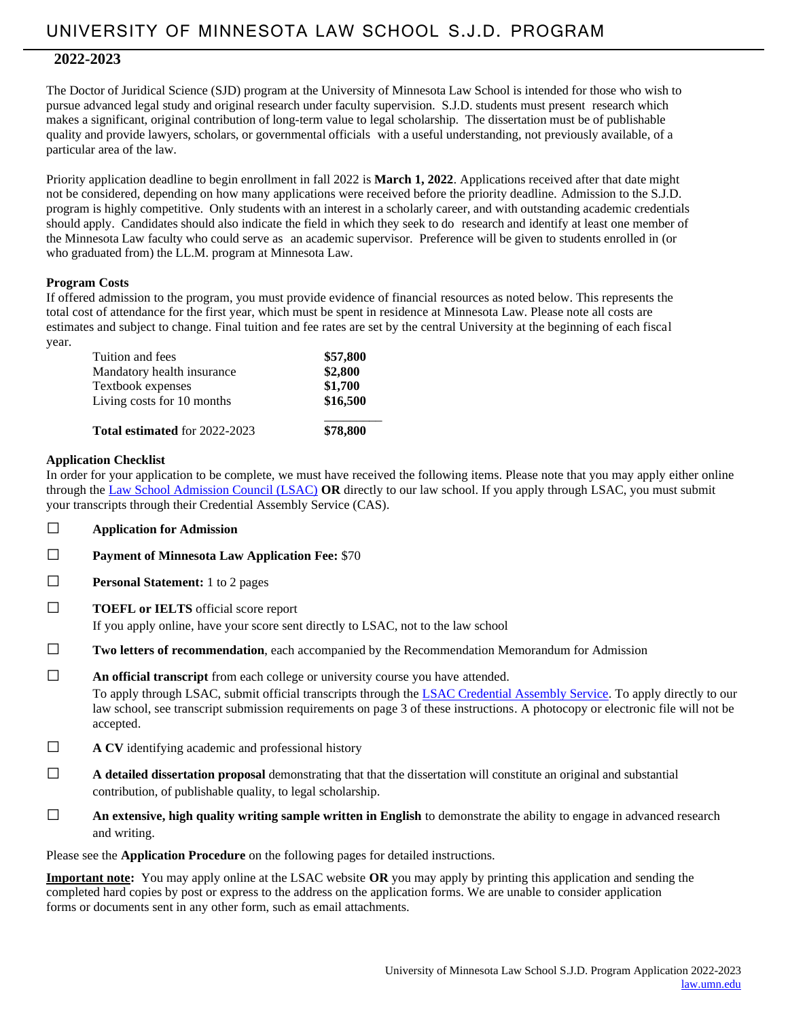# **2022-2023**

The Doctor of Juridical Science (SJD) program at the University of Minnesota Law School is intended for those who wish to pursue advanced legal study and original research under faculty supervision. S.J.D. students must present research which makes a significant, original contribution of long-term value to legal scholarship. The dissertation must be of publishable quality and provide lawyers, scholars, or governmental officials with a useful understanding, not previously available, of a particular area of the law.

Priority application deadline to begin enrollment in fall 2022 is **March 1, 2022**. Applications received after that date might not be considered, depending on how many applications were received before the priority deadline. Admission to the S.J.D. program is highly competitive. Only students with an interest in a scholarly career, and with outstanding academic credentials should apply. Candidates should also indicate the field in which they seek to do research and identify at least one member of the Minnesota Law faculty who could serve as an academic supervisor. Preference will be given to students enrolled in (or who graduated from) the LL.M. program at Minnesota Law.

# **Program Costs**

If offered admission to the program, you must provide evidence of financial resources as noted below. This represents the total cost of attendance for the first year, which must be spent in residence at Minnesota Law. Please note all costs are estimates and subject to change. Final tuition and fee rates are set by the central University at the beginning of each fiscal year.

| Tuition and fees                     | \$57,800 |
|--------------------------------------|----------|
| Mandatory health insurance           | \$2,800  |
| Textbook expenses                    | \$1,700  |
| Living costs for 10 months           | \$16,500 |
| <b>Total estimated for 2022-2023</b> | \$78,800 |

# **Application Checklist**

In order for your application to be complete, we must have received the following items. Please note that you may apply either online through the [Law School Admission Council \(LSAC\)](https://www.lsac.org/llm-other-law-program-applicants) **OR** directly to our law school. If you apply through LSAC, you must submit your transcripts through their Credential Assembly Service (CAS).

- □ **Application for Admission**
- □ **Payment of Minnesota Law Application Fee:** \$70
- □ **Personal Statement:** 1 to 2 pages
- □ **TOEFL or IELTS** official score report

If you apply online, have your score sent directly to LSAC, not to the law school

- □ **Two letters of recommendation**, each accompanied by the Recommendation Memorandum for Admission
- □ **An official transcript** from each college or university course you have attended.

To apply through LSAC, submit official transcripts through the [LSAC Credential Assembly Service.](http://www.lsac.org/llm/application-process/llm-cas) To apply directly to our law school, see transcript submission requirements on page 3 of these instructions. A photocopy or electronic file will not be accepted.

- □ **A CV** identifying academic and professional history
- □ **A detailed dissertation proposal** demonstrating that that the dissertation will constitute an original and substantial contribution, of publishable quality, to legal scholarship.
- $\Box$  **An extensive, high quality writing sample written in English** to demonstrate the ability to engage in advanced research and writing.

Please see the **Application Procedure** on the following pages for detailed instructions.

**Important note:** You may apply online at the LSAC website **OR** you may apply by printing this application and sending the completed hard copies by post or express to the address on the application forms. We are unable to consider application forms or documents sent in any other form, such as email attachments.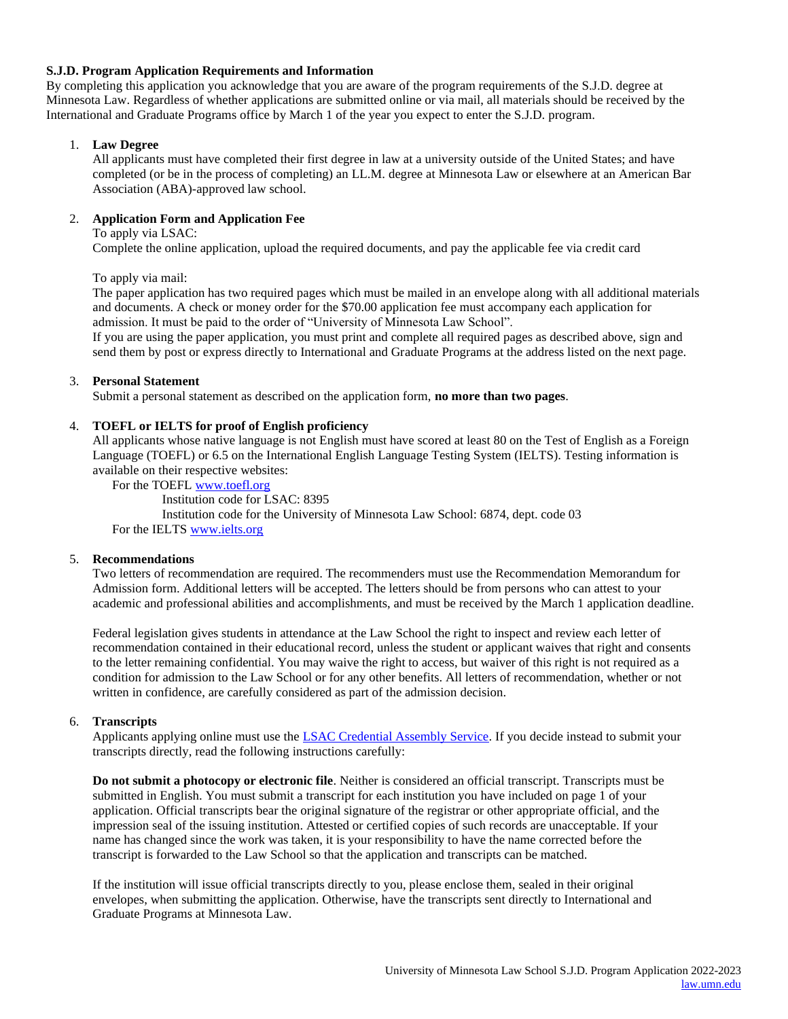# **S.J.D. Program Application Requirements and Information**

By completing this application you acknowledge that you are aware of the program requirements of the S.J.D. degree at Minnesota Law. Regardless of whether applications are submitted online or via mail, all materials should be received by the International and Graduate Programs office by March 1 of the year you expect to enter the S.J.D. program.

# 1. **Law Degree**

All applicants must have completed their first degree in law at a university outside of the United States; and have completed (or be in the process of completing) an LL.M. degree at Minnesota Law or elsewhere at an American Bar Association (ABA)-approved law school.

# 2. **Application Form and Application Fee**

To apply via LSAC:

Complete the online application, upload the required documents, and pay the applicable fee via credit card

To apply via mail:

The paper application has two required pages which must be mailed in an envelope along with all additional materials and documents. A check or money order for the \$70.00 application fee must accompany each application for admission. It must be paid to the order of "University of Minnesota Law School".

If you are using the paper application, you must print and complete all required pages as described above, sign and send them by post or express directly to International and Graduate Programs at the address listed on the next page.

# 3. **Personal Statement**

Submit a personal statement as described on the application form, **no more than two pages**.

# 4. **TOEFL or IELTS for proof of English proficiency**

All applicants whose native language is not English must have scored at least 80 on the Test of English as a Foreign Language (TOEFL) or 6.5 on the International English Language Testing System (IELTS). Testing information is available on their respective websites:

For the TOEF[L www.toefl.org](http://www.toefl.org/)

Institution code for LSAC: 8395 Institution code for the University of Minnesota Law School: 6874, dept. code 03 For the IELTS [www.ielts.org](http://www.ielts.org/)

# 5. **Recommendations**

Two letters of recommendation are required. The recommenders must use the Recommendation Memorandum for Admission form. Additional letters will be accepted. The letters should be from persons who can attest to your academic and professional abilities and accomplishments, and must be received by the March 1 application deadline.

Federal legislation gives students in attendance at the Law School the right to inspect and review each letter of recommendation contained in their educational record, unless the student or applicant waives that right and consents to the letter remaining confidential. You may waive the right to access, but waiver of this right is not required as a condition for admission to the Law School or for any other benefits. All letters of recommendation, whether or not written in confidence, are carefully considered as part of the admission decision.

# 6. **Transcripts**

Applicants applying online must use the **LSAC Credential Assembly Service**. If you decide instead to submit your transcripts directly, read the following instructions carefully:

**Do not submit a photocopy or electronic file**. Neither is considered an official transcript. Transcripts must be submitted in English. You must submit a transcript for each institution you have included on page 1 of your application. Official transcripts bear the original signature of the registrar or other appropriate official, and the impression seal of the issuing institution. Attested or certified copies of such records are unacceptable. If your name has changed since the work was taken, it is your responsibility to have the name corrected before the transcript is forwarded to the Law School so that the application and transcripts can be matched.

If the institution will issue official transcripts directly to you, please enclose them, sealed in their original envelopes, when submitting the application. Otherwise, have the transcripts sent directly to International and Graduate Programs at Minnesota Law.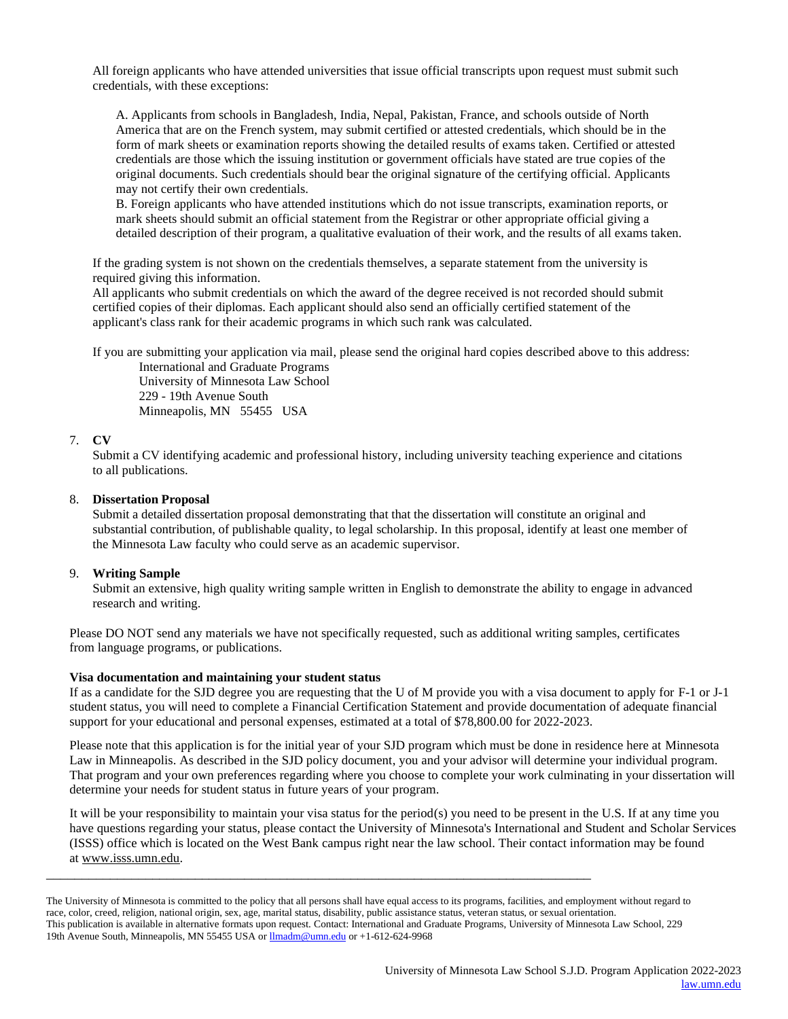All foreign applicants who have attended universities that issue official transcripts upon request must submit such credentials, with these exceptions:

A. Applicants from schools in Bangladesh, India, Nepal, Pakistan, France, and schools outside of North America that are on the French system, may submit certified or attested credentials, which should be in the form of mark sheets or examination reports showing the detailed results of exams taken. Certified or attested credentials are those which the issuing institution or government officials have stated are true copies of the original documents. Such credentials should bear the original signature of the certifying official. Applicants may not certify their own credentials.

B. Foreign applicants who have attended institutions which do not issue transcripts, examination reports, or mark sheets should submit an official statement from the Registrar or other appropriate official giving a detailed description of their program, a qualitative evaluation of their work, and the results of all exams taken.

If the grading system is not shown on the credentials themselves, a separate statement from the university is required giving this information.

All applicants who submit credentials on which the award of the degree received is not recorded should submit certified copies of their diplomas. Each applicant should also send an officially certified statement of the applicant's class rank for their academic programs in which such rank was calculated.

If you are submitting your application via mail, please send the original hard copies described above to this address:

International and Graduate Programs University of Minnesota Law School 229 - 19th Avenue South Minneapolis, MN 55455 USA

#### 7. **CV**

Submit a CV identifying academic and professional history, including university teaching experience and citations to all publications.

#### 8. **Dissertation Proposal**

Submit a detailed dissertation proposal demonstrating that that the dissertation will constitute an original and substantial contribution, of publishable quality, to legal scholarship. In this proposal, identify at least one member of the Minnesota Law faculty who could serve as an academic supervisor.

# 9. **Writing Sample**

Submit an extensive, high quality writing sample written in English to demonstrate the ability to engage in advanced research and writing.

Please DO NOT send any materials we have not specifically requested, such as additional writing samples, certificates from language programs, or publications.

#### **Visa documentation and maintaining your student status**

If as a candidate for the SJD degree you are requesting that the U of M provide you with a visa document to apply for F-1 or J-1 student status, you will need to complete a Financial Certification Statement and provide documentation of adequate financial support for your educational and personal expenses, estimated at a total of \$78,800.00 for 2022-2023.

Please note that this application is for the initial year of your SJD program which must be done in residence here at Minnesota Law in Minneapolis. As described in the SJD policy document, you and your advisor will determine your individual program. That program and your own preferences regarding where you choose to complete your work culminating in your dissertation will determine your needs for student status in future years of your program.

It will be your responsibility to maintain your visa status for the period(s) you need to be present in the U.S. If at any time you have questions regarding your status, please contact the University of Minnesota's International and Student and Scholar Services (ISSS) office which is located on the West Bank campus right near the law school. Their contact information may be found at [www.isss.umn.edu.](http://www.isss.umn.edu/)

\_\_\_\_\_\_\_\_\_\_\_\_\_\_\_\_\_\_\_\_\_\_\_\_\_\_\_\_\_\_\_\_\_\_\_\_\_\_\_\_\_\_\_\_\_\_\_\_\_\_\_\_\_\_\_\_\_\_\_\_\_\_\_\_\_\_\_\_\_\_\_\_\_\_\_\_\_

The University of Minnesota is committed to the policy that all persons shall have equal access to its programs, facilities, and employment without regard to race, color, creed, religion, national origin, sex, age, marital status, disability, public assistance status, veteran status, or sexual orientation. This publication is available in alternative formats upon request. Contact: International and Graduate Programs, University of Minnesota Law School, 229 19th Avenue South, Minneapolis, MN 55455 USA or **Ilmadm@umn.edu** or +1-612-624-9968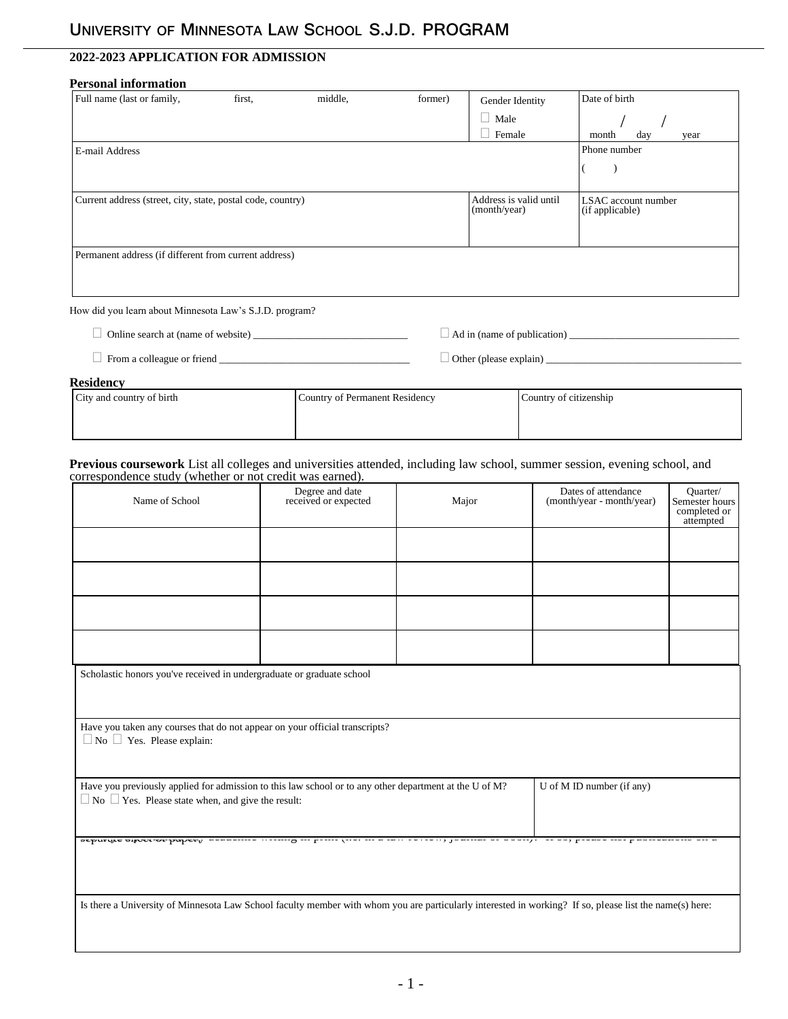# **2022-2023 APPLICATION FOR ADMISSION**

# **Personal information**

| Full name (last or family,                                  | first. | middle, | former) | Gender Identity                        | Date of birth                          |
|-------------------------------------------------------------|--------|---------|---------|----------------------------------------|----------------------------------------|
|                                                             |        |         |         | Male                                   |                                        |
|                                                             |        |         |         | Female                                 | day<br>month<br>year                   |
| E-mail Address                                              |        |         |         |                                        | Phone number                           |
|                                                             |        |         |         |                                        |                                        |
| Current address (street, city, state, postal code, country) |        |         |         | Address is valid until<br>(month/year) | LSAC account number<br>(if applicable) |
| Permanent address (if different from current address)       |        |         |         |                                        |                                        |
| How did you learn about Minnesota Law's S.J.D. program?     |        |         |         |                                        |                                        |
| Online search at (name of website)                          |        |         |         | Ad in (name of publication)            |                                        |

 $\Box$  From a colleague or friend  $\Box$ 

**Residency**

| ----------                |                                |                        |
|---------------------------|--------------------------------|------------------------|
| City and country of birth | Country of Permanent Residency | Country of citizenship |
|                           |                                |                        |

#### **Previous coursework** List all colleges and universities attended, including law school, summer session, evening school, and correspondence study (whether or not credit was earned).

| Name of School                                                                                                                                                                                       | Degree and date<br>received or expected | Major | Dates of attendance<br>(month/year - month/year) | Quarter/<br>Semester hours<br>completed or<br>attempted |  |
|------------------------------------------------------------------------------------------------------------------------------------------------------------------------------------------------------|-----------------------------------------|-------|--------------------------------------------------|---------------------------------------------------------|--|
|                                                                                                                                                                                                      |                                         |       |                                                  |                                                         |  |
|                                                                                                                                                                                                      |                                         |       |                                                  |                                                         |  |
|                                                                                                                                                                                                      |                                         |       |                                                  |                                                         |  |
|                                                                                                                                                                                                      |                                         |       |                                                  |                                                         |  |
| Scholastic honors you've received in undergraduate or graduate school                                                                                                                                |                                         |       |                                                  |                                                         |  |
| Have you taken any courses that do not appear on your official transcripts?<br>$\Box$ No $\Box$ Yes. Please explain:                                                                                 |                                         |       |                                                  |                                                         |  |
| Have you previously applied for admission to this law school or to any other department at the U of M?<br>U of M ID number (if any)<br>$\Box$ No $\Box$ Yes. Please state when, and give the result: |                                         |       |                                                  |                                                         |  |
| <b>opplicitie affore at babar)</b> menuerite treating in periodicies in mant extrest, journal of obour). It as, premie in publications on m                                                          |                                         |       |                                                  |                                                         |  |
| Is there a University of Minnesota Law School faculty member with whom you are particularly interested in working? If so, please list the name(s) here:                                              |                                         |       |                                                  |                                                         |  |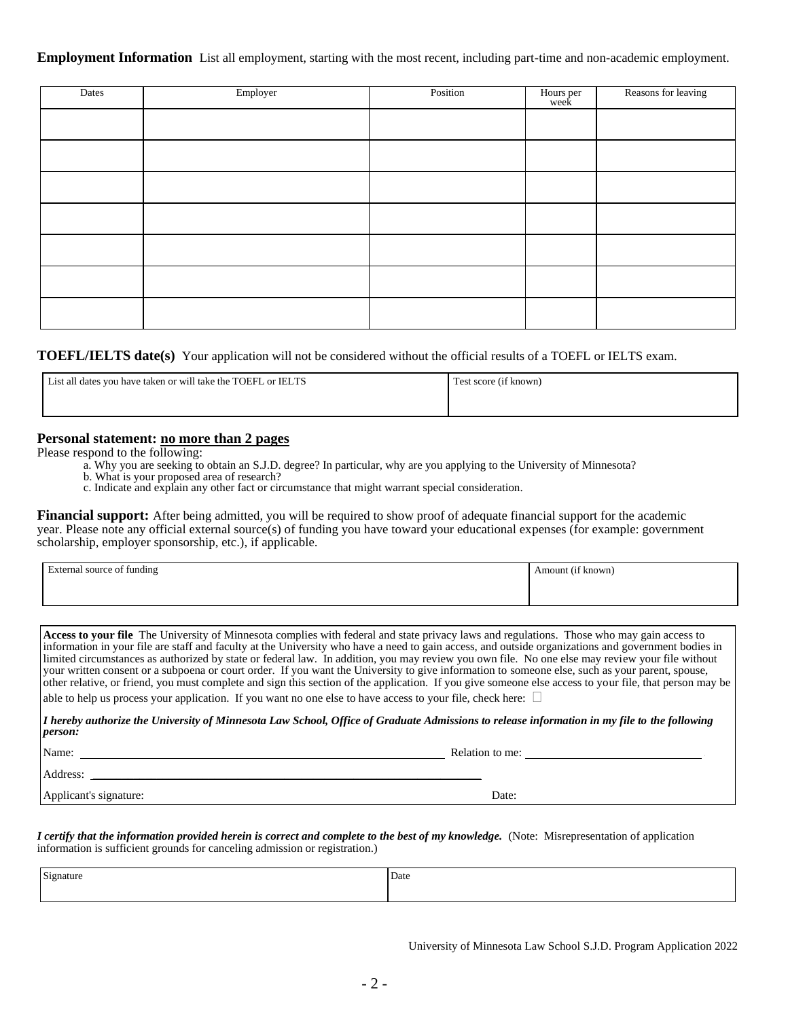**Employment Information** List all employment, starting with the most recent, including part-time and non-academic employment.

| Dates | Employer | Position | Hours per<br>week | Reasons for leaving |
|-------|----------|----------|-------------------|---------------------|
|       |          |          |                   |                     |
|       |          |          |                   |                     |
|       |          |          |                   |                     |
|       |          |          |                   |                     |
|       |          |          |                   |                     |
|       |          |          |                   |                     |
|       |          |          |                   |                     |

**TOEFL/IELTS date(s)** Your application will not be considered without the official results of a TOEFL or IELTS exam.

| List all dates you have taken or will take the TOEFL or IELTS | Test score (if known) |
|---------------------------------------------------------------|-----------------------|
|                                                               |                       |

# **Personal statement: no more than 2 pages**

Please respond to the following:

- a. Why you are seeking to obtain an S.J.D. degree? In particular, why are you applying to the University of Minnesota?
- b. What is your proposed area of research?
- c. Indicate and explain any other fact or circumstance that might warrant special consideration.

**Financial support:** After being admitted, you will be required to show proof of adequate financial support for the academic year. Please note any official external source(s) of funding you have toward your educational expenses (for example: government scholarship, employer sponsorship, etc.), if applicable.

| $\cdot$                    | $\cdots$          |
|----------------------------|-------------------|
| External source of funding | Amount (if known) |
|                            |                   |

**Access to your file** The University of Minnesota complies with federal and state privacy laws and regulations. Those who may gain access to information in your file are staff and faculty at the University who have a need to gain access, and outside organizations and government bodies in limited circumstances as authorized by state or federal law. In addition, you may review you own file. No one else may review your file without your written consent or a subpoena or court order. If you want the University to give information to someone else, such as your parent, spouse, other relative, or friend, you must complete and sign this section of the application. If you give someone else access to your file, that person may be

able to help us process your application. If you want no one else to have access to your file, check here:  $\square$ 

*I hereby authorize the University of Minnesota Law School, Office of Graduate Admissions to release information in my file to the following person:*

Name: Relation to me:  $\blacksquare$ 

Address: \_\_\_\_\_\_\_\_\_\_\_\_\_\_\_\_\_\_\_\_\_\_\_\_\_\_\_\_\_\_\_\_\_\_\_\_\_\_\_\_\_\_\_\_\_\_\_\_\_\_\_\_\_\_\_\_\_\_\_\_\_\_\_\_\_\_\_

Applicant's signature: Date: Date: Date: Date: Date: Date: Date: Date: Date: Date: Date: Date: Date: Date: Date: Date: Date: Date: Date: Date: Date: Date: Date: Date: Date: Date: Date: Date: Date: Date: Date: Date: Date: D

*I certify that the information provided herein is correct and complete to the best of my knowledge.* (Note: Misrepresentation of application information is sufficient grounds for canceling admission or registration.)

| $\mathbf{r}$ | Date |
|--------------|------|
|              |      |